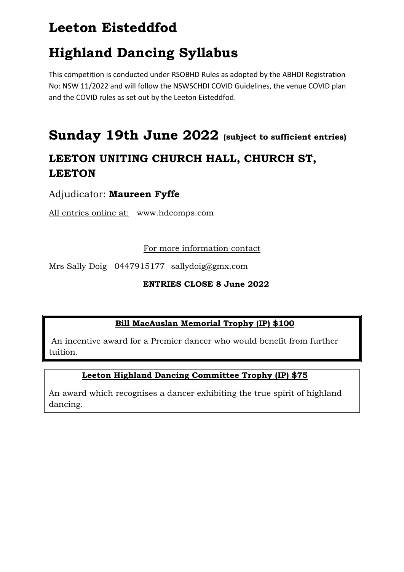# **Leeton Eisteddfod**

# **Highland Dancing Syllabus**

This competition is conducted under RSOBHD Rules as adopted by the ABHDI Registration No: NSW 11/2022 and will follow the NSWSCHDI COVID Guidelines, the venue COVID plan and the COVID rules as set out by the Leeton Eisteddfod.

# **Sunday 19th June 2022 (subject to sufficient entries)**

## **LEETON UNITING CHURCH HALL, CHURCH ST, LEETON**

## Adjudicator: **Maureen Fyffe**

All entries online at: www.hdcomps.com

### For more information contact

Mrs Sally Doig 0447915177 sallydoig@gmx.com

### **ENTRIES CLOSE 8 June 2022**

## **Bill MacAuslan Memorial Trophy (IP) \$100**

An incentive award for a Premier dancer who would benefit from further tuition.

## **Leeton Highland Dancing Committee Trophy (IP) \$75**

An award which recognises a dancer exhibiting the true spirit of highland dancing.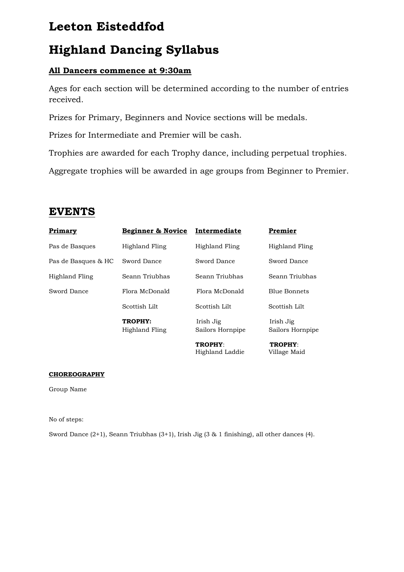## **Leeton Eisteddfod**

# **Highland Dancing Syllabus**

## **All Dancers commence at 9:30am**

Ages for each section will be determined according to the number of entries received.

Prizes for Primary, Beginners and Novice sections will be medals.

Prizes for Intermediate and Premier will be cash.

Trophies are awarded for each Trophy dance, including perpetual trophies.

Aggregate trophies will be awarded in age groups from Beginner to Premier.

## **EVENTS**

| <b>Primary</b>      | Beginner & Novice         | Intermediate                  | Premier                        |
|---------------------|---------------------------|-------------------------------|--------------------------------|
| Pas de Basques      | Highland Fling            | Highland Fling                | Highland Fling                 |
| Pas de Basques & HC | Sword Dance               | Sword Dance                   | Sword Dance                    |
| Highland Fling      | Seann Triubhas            | Seann Triubhas                | Seann Triubhas                 |
| Sword Dance         | Flora McDonald            | Flora McDonald                | <b>Blue Bonnets</b>            |
|                     | Scottish Lilt             | Scottish Lilt                 | Scottish Lilt                  |
|                     | TROPHY:<br>Highland Fling | Irish Jig<br>Sailors Hornpipe | Irish Jig<br>Sailors Hornpipe  |
|                     |                           | TROPHY:<br>Highland Laddie    | <b>TROPHY:</b><br>Village Maid |

### **CHOREOGRAPHY**

Group Name

No of steps:

Sword Dance (2+1), Seann Triubhas (3+1), Irish Jig (3 & 1 finishing), all other dances (4).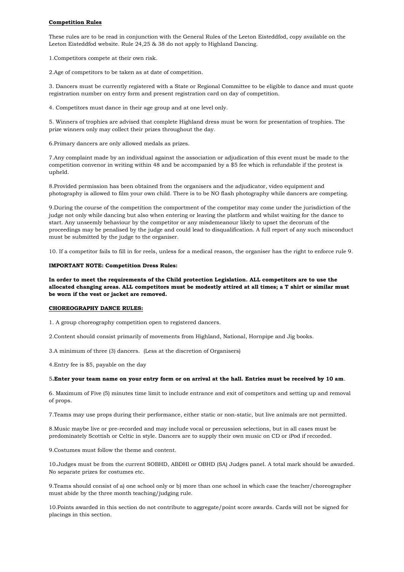#### **Competition Rules**

These rules are to be read in conjunction with the General Rules of the Leeton Eisteddfod, copy available on the Leeton Eisteddfod website. Rule 24,25 & 38 do not apply to Highland Dancing.

1.Competitors compete at their own risk.

2.Age of competitors to be taken as at date of competition.

3. Dancers must be currently registered with a State or Regional Committee to be eligible to dance and must quote registration number on entry form and present registration card on day of competition.

4. Competitors must dance in their age group and at one level only.

5. Winners of trophies are advised that complete Highland dress must be worn for presentation of trophies. The prize winners only may collect their prizes throughout the day.

6.Primary dancers are only allowed medals as prizes.

7.Any complaint made by an individual against the association or adjudication of this event must be made to the competition convenor in writing within 48 and be accompanied by a \$5 fee which is refundable if the protest is upheld.

8.Provided permission has been obtained from the organisers and the adjudicator, video equipment and photography is allowed to film your own child. There is to be NO flash photography while dancers are competing.

9.During the course of the competition the comportment of the competitor may come under the jurisdiction of the judge not only while dancing but also when entering or leaving the platform and whilst waiting for the dance to start. Any unseemly behaviour by the competitor or any misdemeanour likely to upset the decorum of the proceedings may be penalised by the judge and could lead to disqualification. A full report of any such misconduct must be submitted by the judge to the organiser.

10. If a competitor fails to fill in for reels, unless for a medical reason, the organiser has the right to enforce rule 9.

#### **IMPORTANT NOTE: Competition Dress Rules:**

**In order to meet the requirements of the Child protection Legislation. ALL competitors are to use the allocated changing areas. ALL competitors must be modestly attired at all times; a T shirt or similar must be worn if the vest or jacket are removed.**

#### **CHOREOGRAPHY DANCE RULES:**

1. A group choreography competition open to registered dancers.

2.Content should consist primarily of movements from Highland, National, Hornpipe and Jig books.

3.A minimum of three (3) dancers. (Less at the discretion of Organisers)

4.Entry fee is \$5, payable on the day

#### 5**.Enter your team name on your entry form or on arrival at the hall. Entries must be received by 10 am**.

6. Maximum of Five (5) minutes time limit to include entrance and exit of competitors and setting up and removal of props.

7.Teams may use props during their performance, either static or non-static, but live animals are not permitted.

8.Music maybe live or pre-recorded and may include vocal or percussion selections, but in all cases must be predominately Scottish or Celtic in style. Dancers are to supply their own music on CD or iPod if recorded.

9.Costumes must follow the theme and content.

10.Judges must be from the current SOBHD, ABDHI or OBHD (SA) Judges panel. A total mark should be awarded. No separate prizes for costumes etc.

9.Teams should consist of a) one school only or b) more than one school in which case the teacher/choreographer must abide by the three month teaching/judging rule.

10.Points awarded in this section do not contribute to aggregate/point score awards. Cards will not be signed for placings in this section.